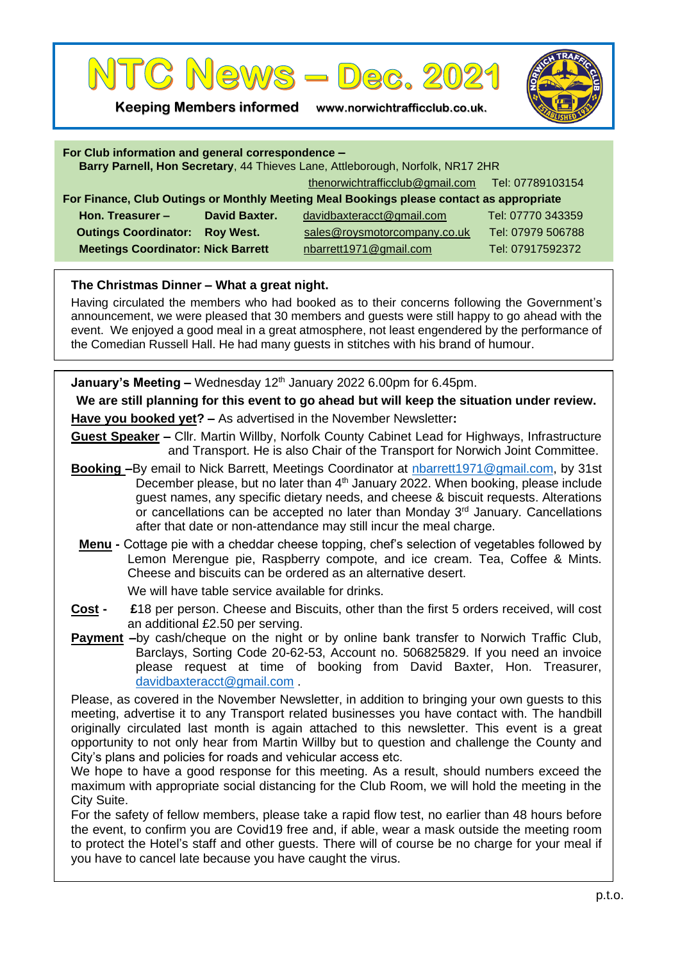

**Keeping Members informed www.norwichtrafficclub.co.uk.**



| For Club information and general correspondence -<br>Barry Parnell, Hon Secretary, 44 Thieves Lane, Attleborough, Norfolk, NR17 2HR |                  |                                                  |                   |
|-------------------------------------------------------------------------------------------------------------------------------------|------------------|--------------------------------------------------|-------------------|
|                                                                                                                                     |                  | thenorwichtrafficclub@gmail.com Tel: 07789103154 |                   |
| For Finance, Club Outings or Monthly Meeting Meal Bookings please contact as appropriate                                            |                  |                                                  |                   |
| Hon. Treasurer $-$                                                                                                                  | David Baxter.    | davidbaxteracct@gmail.com                        | Tel: 07770 343359 |
| <b>Outings Coordinator:</b>                                                                                                         | <b>Roy West.</b> | sales@roysmotorcompany.co.uk                     | Tel: 07979 506788 |
| <b>Meetings Coordinator: Nick Barrett</b>                                                                                           |                  | nbarrett1971@gmail.com                           | Tel: 07917592372  |

## **The Christmas Dinner – What a great night.**

Having circulated the members who had booked as to their concerns following the Government's announcement, we were pleased that 30 members and guests were still happy to go ahead with the event. We enjoyed a good meal in a great atmosphere, not least engendered by the performance of the Comedian Russell Hall. He had many guests in stitches with his brand of humour.

**January's Meeting –** Wednesday 12<sup>th</sup> January 2022 6.00pm for 6.45pm.

**We are still planning for this event to go ahead but will keep the situation under review.**

**Have you booked yet? –** As advertised in the November Newsletter**:**

**Guest Speaker –** Cllr. Martin Willby, Norfolk County Cabinet Lead for Highways, Infrastructure and Transport. He is also Chair of the Transport for Norwich Joint Committee.

- **Booking –**By email to Nick Barrett, Meetings Coordinator at [nbarrett1971@gmail.com,](mailto:nbarrett1971@gmail.com) by 31st December please, but no later than  $4<sup>th</sup>$  January 2022. When booking, please include guest names, any specific dietary needs, and cheese & biscuit requests. Alterations or cancellations can be accepted no later than Monday 3<sup>rd</sup> January. Cancellations after that date or non-attendance may still incur the meal charge.
	- **Menu -** Cottage pie with a cheddar cheese topping, chef's selection of vegetables followed by Lemon Merengue pie, Raspberry compote, and ice cream. Tea, Coffee & Mints. Cheese and biscuits can be ordered as an alternative desert.

We will have table service available for drinks.

- **Cost £**18 per person. Cheese and Biscuits, other than the first 5 orders received, will cost an additional £2.50 per serving.
- **Payment**  $-$ by cash/cheque on the night or by online bank transfer to Norwich Traffic Club, Barclays, Sorting Code 20-62-53, Account no. 506825829. If you need an invoice please request at time of booking from David Baxter, Hon. Treasurer, [davidbaxteracct@gmail.com](mailto:davidbaxteracct@gmail.com) .

Please, as covered in the November Newsletter, in addition to bringing your own guests to this meeting, advertise it to any Transport related businesses you have contact with. The handbill originally circulated last month is again attached to this newsletter. This event is a great opportunity to not only hear from Martin Willby but to question and challenge the County and City's plans and policies for roads and vehicular access etc.

We hope to have a good response for this meeting. As a result, should numbers exceed the maximum with appropriate social distancing for the Club Room, we will hold the meeting in the City Suite.

For the safety of fellow members, please take a rapid flow test, no earlier than 48 hours before the event, to confirm you are Covid19 free and, if able, wear a mask outside the meeting room to protect the Hotel's staff and other guests. There will of course be no charge for your meal if you have to cancel late because you have caught the virus.